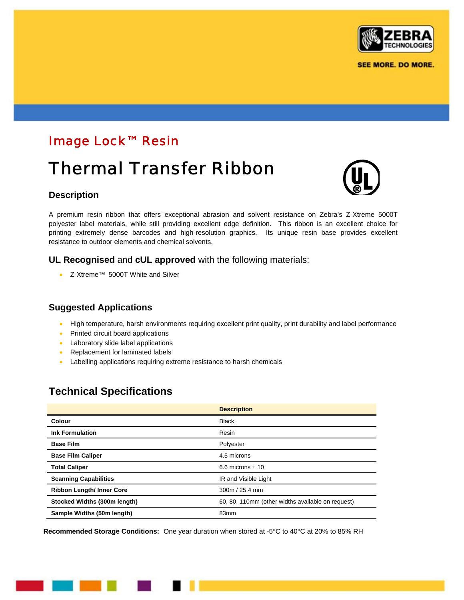

## Image Lock™ Resin

# Thermal Transfer Ribbon

#### **Description**

A premium resin ribbon that offers exceptional abrasion and solvent resistance on Zebra's Z-Xtreme 5000T polyester label materials, while still providing excellent edge definition. This ribbon is an excellent choice for printing extremely dense barcodes and high-resolution graphics. Its unique resin base provides excellent resistance to outdoor elements and chemical solvents.

#### **UL Recognised** and **cUL approved** with the following materials:

• Z-Xtreme™ 5000T White and Silver

### **Suggested Applications**

- High temperature, harsh environments requiring excellent print quality, print durability and label performance
- Printed circuit board applications
- Laboratory slide label applications
- Replacement for laminated labels
- Labelling applications requiring extreme resistance to harsh chemicals

## **Technical Specifications**

|                                 | <b>Description</b>                                |
|---------------------------------|---------------------------------------------------|
| Colour                          | <b>Black</b>                                      |
| <b>Ink Formulation</b>          | Resin                                             |
| <b>Base Film</b>                | Polyester                                         |
| <b>Base Film Caliper</b>        | 4.5 microns                                       |
| <b>Total Caliper</b>            | 6.6 microns $\pm$ 10                              |
| <b>Scanning Capabilities</b>    | IR and Visible Light                              |
| <b>Ribbon Length/Inner Core</b> | 300m / 25.4 mm                                    |
| Stocked Widths (300m length)    | 60, 80, 110mm (other widths available on request) |
| Sample Widths (50m length)      | 83 <sub>mm</sub>                                  |

**Recommended Storage Conditions:** One year duration when stored at -5°C to 40°C at 20% to 85% RH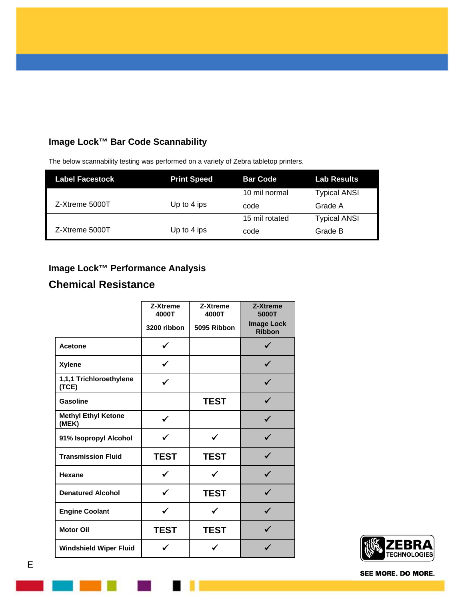## **Image Lock™ Bar Code Scannability**

| <b>Label Facestock</b> | <b>Print Speed</b> | <b>Bar Code</b> | Lab Results         |
|------------------------|--------------------|-----------------|---------------------|
|                        |                    | 10 mil normal   | <b>Typical ANSI</b> |
| Z-Xtreme 5000T         | Up to 4 ips        | code            | Grade A             |
|                        |                    | 15 mil rotated  | <b>Typical ANSI</b> |
| Z-Xtreme 5000T         | Up to 4 ips        | code            | Grade B             |

The below scannability testing was performed on a variety of Zebra tabletop printers.

## **Image Lock™ Performance Analysis**

## **Chemical Resistance**

|                                     | Z-Xtreme<br>4000T | Z-Xtreme<br>4000T | Z-Xtreme<br>5000T                  |
|-------------------------------------|-------------------|-------------------|------------------------------------|
|                                     | 3200 ribbon       | 5095 Ribbon       | <b>Image Lock</b><br><b>Ribbon</b> |
| <b>Acetone</b>                      |                   |                   |                                    |
| <b>Xylene</b>                       |                   |                   |                                    |
| 1,1,1 Trichloroethylene<br>(TCE)    |                   |                   |                                    |
| <b>Gasoline</b>                     |                   | <b>TEST</b>       |                                    |
| <b>Methyl Ethyl Ketone</b><br>(MEK) | ✓                 |                   | ✓                                  |
| 91% Isopropyl Alcohol               |                   | ✔                 |                                    |
| <b>Transmission Fluid</b>           | <b>TEST</b>       | <b>TEST</b>       |                                    |
| Hexane                              | ✓                 | ✔                 |                                    |
| <b>Denatured Alcohol</b>            |                   | <b>TEST</b>       |                                    |
| <b>Engine Coolant</b>               | ✔                 | ✓                 |                                    |
| <b>Motor Oil</b>                    | <b>TEST</b>       | <b>TEST</b>       |                                    |
| <b>Windshield Wiper Fluid</b>       |                   |                   |                                    |



SEE MORE. DO MORE.